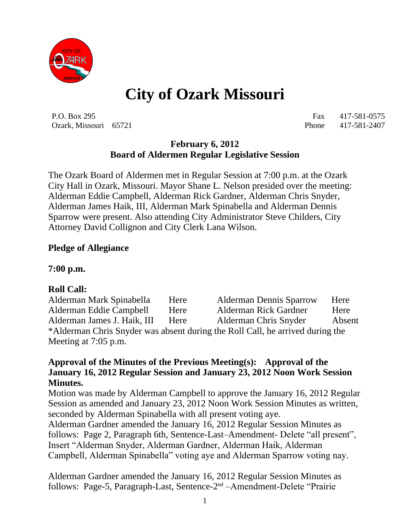

# **City of Ozark Missouri**

P.O. Box 295 Fax 417-581-0575 Ozark, Missouri 65721 Phone 417-581-2407

#### **February 6, 2012 Board of Aldermen Regular Legislative Session**

The Ozark Board of Aldermen met in Regular Session at 7:00 p.m. at the Ozark City Hall in Ozark, Missouri. Mayor Shane L. Nelson presided over the meeting: Alderman Eddie Campbell, Alderman Rick Gardner, Alderman Chris Snyder, Alderman James Haik, III, Alderman Mark Spinabella and Alderman Dennis Sparrow were present. Also attending City Administrator Steve Childers, City Attorney David Collignon and City Clerk Lana Wilson.

### **Pledge of Allegiance**

**7:00 p.m.**

### **Roll Call:**

Alderman Mark Spinabella Here Alderman Dennis Sparrow Here Alderman Eddie Campbell Here Alderman Rick Gardner Here Alderman James J. Haik, III Here Alderman Chris Snyder Absent \*Alderman Chris Snyder was absent during the Roll Call, he arrived during the Meeting at 7:05 p.m.

#### **Approval of the Minutes of the Previous Meeting(s): Approval of the January 16, 2012 Regular Session and January 23, 2012 Noon Work Session Minutes.**

Motion was made by Alderman Campbell to approve the January 16, 2012 Regular Session as amended and January 23, 2012 Noon Work Session Minutes as written, seconded by Alderman Spinabella with all present voting aye.

Alderman Gardner amended the January 16, 2012 Regular Session Minutes as follows: Page 2, Paragraph 6th, Sentence-Last–Amendment- Delete "all present", Insert "Alderman Snyder, Alderman Gardner, Alderman Haik, Alderman Campbell, Alderman Spinabella" voting aye and Alderman Sparrow voting nay.

Alderman Gardner amended the January 16, 2012 Regular Session Minutes as follows: Page-5, Paragraph-Last, Sentence-2nd –Amendment-Delete "Prairie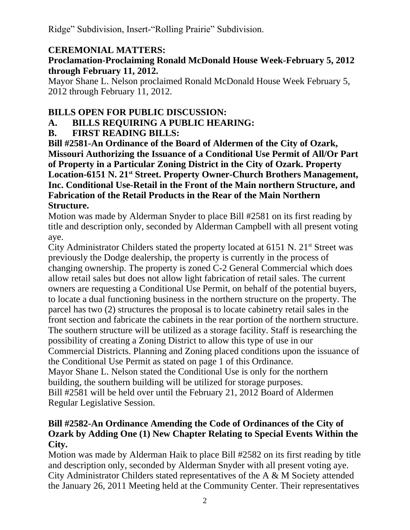Ridge" Subdivision, Insert-"Rolling Prairie" Subdivision.

## **CEREMONIAL MATTERS:**

#### **Proclamation-Proclaiming Ronald McDonald House Week-February 5, 2012 through February 11, 2012.**

Mayor Shane L. Nelson proclaimed Ronald McDonald House Week February 5, 2012 through February 11, 2012.

## **BILLS OPEN FOR PUBLIC DISCUSSION:**

**A. BILLS REQUIRING A PUBLIC HEARING:**

# **B. FIRST READING BILLS:**

**Bill #2581-An Ordinance of the Board of Aldermen of the City of Ozark, Missouri Authorizing the Issuance of a Conditional Use Permit of All/Or Part of Property in a Particular Zoning District in the City of Ozark. Property Location-6151 N. 21st Street. Property Owner-Church Brothers Management, Inc. Conditional Use-Retail in the Front of the Main northern Structure, and Fabrication of the Retail Products in the Rear of the Main Northern Structure.**

Motion was made by Alderman Snyder to place Bill #2581 on its first reading by title and description only, seconded by Alderman Campbell with all present voting aye.

City Administrator Childers stated the property located at  $6151$  N.  $21<sup>st</sup>$  Street was previously the Dodge dealership, the property is currently in the process of changing ownership. The property is zoned C-2 General Commercial which does allow retail sales but does not allow light fabrication of retail sales. The current owners are requesting a Conditional Use Permit, on behalf of the potential buyers, to locate a dual functioning business in the northern structure on the property. The parcel has two (2) structures the proposal is to locate cabinetry retail sales in the front section and fabricate the cabinets in the rear portion of the northern structure. The southern structure will be utilized as a storage facility. Staff is researching the possibility of creating a Zoning District to allow this type of use in our Commercial Districts. Planning and Zoning placed conditions upon the issuance of the Conditional Use Permit as stated on page 1 of this Ordinance. Mayor Shane L. Nelson stated the Conditional Use is only for the northern building, the southern building will be utilized for storage purposes. Bill #2581 will be held over until the February 21, 2012 Board of Aldermen Regular Legislative Session.

## **Bill #2582-An Ordinance Amending the Code of Ordinances of the City of Ozark by Adding One (1) New Chapter Relating to Special Events Within the City.**

Motion was made by Alderman Haik to place Bill #2582 on its first reading by title and description only, seconded by Alderman Snyder with all present voting aye. City Administrator Childers stated representatives of the A & M Society attended the January 26, 2011 Meeting held at the Community Center. Their representatives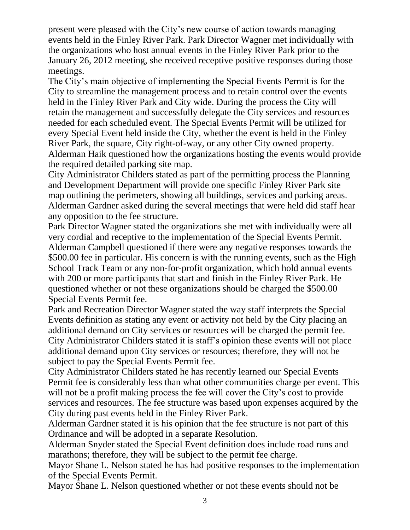present were pleased with the City's new course of action towards managing events held in the Finley River Park. Park Director Wagner met individually with the organizations who host annual events in the Finley River Park prior to the January 26, 2012 meeting, she received receptive positive responses during those meetings.

The City's main objective of implementing the Special Events Permit is for the City to streamline the management process and to retain control over the events held in the Finley River Park and City wide. During the process the City will retain the management and successfully delegate the City services and resources needed for each scheduled event. The Special Events Permit will be utilized for every Special Event held inside the City, whether the event is held in the Finley River Park, the square, City right-of-way, or any other City owned property. Alderman Haik questioned how the organizations hosting the events would provide the required detailed parking site map.

City Administrator Childers stated as part of the permitting process the Planning and Development Department will provide one specific Finley River Park site map outlining the perimeters, showing all buildings, services and parking areas. Alderman Gardner asked during the several meetings that were held did staff hear any opposition to the fee structure.

Park Director Wagner stated the organizations she met with individually were all very cordial and receptive to the implementation of the Special Events Permit. Alderman Campbell questioned if there were any negative responses towards the \$500.00 fee in particular. His concern is with the running events, such as the High School Track Team or any non-for-profit organization, which hold annual events with 200 or more participants that start and finish in the Finley River Park. He questioned whether or not these organizations should be charged the \$500.00 Special Events Permit fee.

Park and Recreation Director Wagner stated the way staff interprets the Special Events definition as stating any event or activity not held by the City placing an additional demand on City services or resources will be charged the permit fee. City Administrator Childers stated it is staff's opinion these events will not place additional demand upon City services or resources; therefore, they will not be subject to pay the Special Events Permit fee.

City Administrator Childers stated he has recently learned our Special Events Permit fee is considerably less than what other communities charge per event. This will not be a profit making process the fee will cover the City's cost to provide services and resources. The fee structure was based upon expenses acquired by the City during past events held in the Finley River Park.

Alderman Gardner stated it is his opinion that the fee structure is not part of this Ordinance and will be adopted in a separate Resolution.

Alderman Snyder stated the Special Event definition does include road runs and marathons; therefore, they will be subject to the permit fee charge.

Mayor Shane L. Nelson stated he has had positive responses to the implementation of the Special Events Permit.

Mayor Shane L. Nelson questioned whether or not these events should not be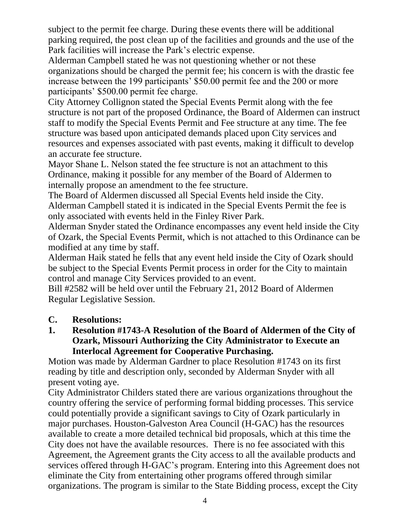subject to the permit fee charge. During these events there will be additional parking required, the post clean up of the facilities and grounds and the use of the Park facilities will increase the Park's electric expense.

Alderman Campbell stated he was not questioning whether or not these organizations should be charged the permit fee; his concern is with the drastic fee increase between the 199 participants' \$50.00 permit fee and the 200 or more participants' \$500.00 permit fee charge.

City Attorney Collignon stated the Special Events Permit along with the fee structure is not part of the proposed Ordinance, the Board of Aldermen can instruct staff to modify the Special Events Permit and Fee structure at any time. The fee structure was based upon anticipated demands placed upon City services and resources and expenses associated with past events, making it difficult to develop an accurate fee structure.

Mayor Shane L. Nelson stated the fee structure is not an attachment to this Ordinance, making it possible for any member of the Board of Aldermen to internally propose an amendment to the fee structure.

The Board of Aldermen discussed all Special Events held inside the City. Alderman Campbell stated it is indicated in the Special Events Permit the fee is only associated with events held in the Finley River Park.

Alderman Snyder stated the Ordinance encompasses any event held inside the City of Ozark, the Special Events Permit, which is not attached to this Ordinance can be modified at any time by staff.

Alderman Haik stated he fells that any event held inside the City of Ozark should be subject to the Special Events Permit process in order for the City to maintain control and manage City Services provided to an event.

Bill #2582 will be held over until the February 21, 2012 Board of Aldermen Regular Legislative Session.

## **C. Resolutions:**

#### **1. Resolution #1743-A Resolution of the Board of Aldermen of the City of Ozark, Missouri Authorizing the City Administrator to Execute an Interlocal Agreement for Cooperative Purchasing.**

Motion was made by Alderman Gardner to place Resolution #1743 on its first reading by title and description only, seconded by Alderman Snyder with all present voting aye.

City Administrator Childers stated there are various organizations throughout the country offering the service of performing formal bidding processes. This service could potentially provide a significant savings to City of Ozark particularly in major purchases. Houston-Galveston Area Council (H-GAC) has the resources available to create a more detailed technical bid proposals, which at this time the City does not have the available resources. There is no fee associated with this Agreement, the Agreement grants the City access to all the available products and services offered through H-GAC's program. Entering into this Agreement does not eliminate the City from entertaining other programs offered through similar organizations. The program is similar to the State Bidding process, except the City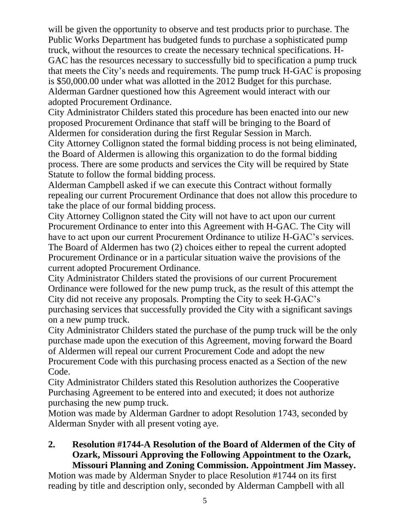will be given the opportunity to observe and test products prior to purchase. The Public Works Department has budgeted funds to purchase a sophisticated pump truck, without the resources to create the necessary technical specifications. H-GAC has the resources necessary to successfully bid to specification a pump truck that meets the City's needs and requirements. The pump truck H-GAC is proposing is \$50,000.00 under what was allotted in the 2012 Budget for this purchase. Alderman Gardner questioned how this Agreement would interact with our adopted Procurement Ordinance.

City Administrator Childers stated this procedure has been enacted into our new proposed Procurement Ordinance that staff will be bringing to the Board of Aldermen for consideration during the first Regular Session in March.

City Attorney Collignon stated the formal bidding process is not being eliminated, the Board of Aldermen is allowing this organization to do the formal bidding process. There are some products and services the City will be required by State Statute to follow the formal bidding process.

Alderman Campbell asked if we can execute this Contract without formally repealing our current Procurement Ordinance that does not allow this procedure to take the place of our formal bidding process.

City Attorney Collignon stated the City will not have to act upon our current Procurement Ordinance to enter into this Agreement with H-GAC. The City will have to act upon our current Procurement Ordinance to utilize H-GAC's services. The Board of Aldermen has two (2) choices either to repeal the current adopted Procurement Ordinance or in a particular situation waive the provisions of the current adopted Procurement Ordinance.

City Administrator Childers stated the provisions of our current Procurement Ordinance were followed for the new pump truck, as the result of this attempt the City did not receive any proposals. Prompting the City to seek H-GAC's purchasing services that successfully provided the City with a significant savings on a new pump truck.

City Administrator Childers stated the purchase of the pump truck will be the only purchase made upon the execution of this Agreement, moving forward the Board of Aldermen will repeal our current Procurement Code and adopt the new Procurement Code with this purchasing process enacted as a Section of the new Code.

City Administrator Childers stated this Resolution authorizes the Cooperative Purchasing Agreement to be entered into and executed; it does not authorize purchasing the new pump truck.

Motion was made by Alderman Gardner to adopt Resolution 1743, seconded by Alderman Snyder with all present voting aye.

#### **2. Resolution #1744-A Resolution of the Board of Aldermen of the City of Ozark, Missouri Approving the Following Appointment to the Ozark, Missouri Planning and Zoning Commission. Appointment Jim Massey.**

Motion was made by Alderman Snyder to place Resolution #1744 on its first reading by title and description only, seconded by Alderman Campbell with all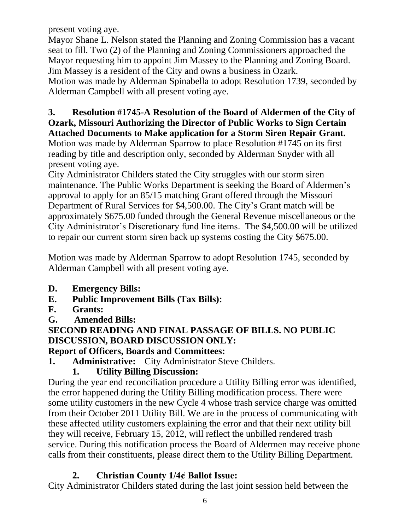present voting aye.

Mayor Shane L. Nelson stated the Planning and Zoning Commission has a vacant seat to fill. Two (2) of the Planning and Zoning Commissioners approached the Mayor requesting him to appoint Jim Massey to the Planning and Zoning Board. Jim Massey is a resident of the City and owns a business in Ozark.

Motion was made by Alderman Spinabella to adopt Resolution 1739, seconded by Alderman Campbell with all present voting aye.

#### **3. Resolution #1745-A Resolution of the Board of Aldermen of the City of Ozark, Missouri Authorizing the Director of Public Works to Sign Certain Attached Documents to Make application for a Storm Siren Repair Grant.**

Motion was made by Alderman Sparrow to place Resolution #1745 on its first reading by title and description only, seconded by Alderman Snyder with all present voting aye.

City Administrator Childers stated the City struggles with our storm siren maintenance. The Public Works Department is seeking the Board of Aldermen's approval to apply for an 85/15 matching Grant offered through the Missouri Department of Rural Services for \$4,500.00. The City's Grant match will be approximately \$675.00 funded through the General Revenue miscellaneous or the City Administrator's Discretionary fund line items. The \$4,500.00 will be utilized to repair our current storm siren back up systems costing the City \$675.00.

Motion was made by Alderman Sparrow to adopt Resolution 1745, seconded by Alderman Campbell with all present voting aye.

- **D. Emergency Bills:**
- **E. Public Improvement Bills (Tax Bills):**
- **F. Grants:**
- **G. Amended Bills:**

# **SECOND READING AND FINAL PASSAGE OF BILLS. NO PUBLIC DISCUSSION, BOARD DISCUSSION ONLY:**

## **Report of Officers, Boards and Committees:**

**1. Administrative:** City Administrator Steve Childers.

# **1. Utility Billing Discussion:**

During the year end reconciliation procedure a Utility Billing error was identified, the error happened during the Utility Billing modification process. There were some utility customers in the new Cycle 4 whose trash service charge was omitted from their October 2011 Utility Bill. We are in the process of communicating with these affected utility customers explaining the error and that their next utility bill they will receive, February 15, 2012, will reflect the unbilled rendered trash service. During this notification process the Board of Aldermen may receive phone calls from their constituents, please direct them to the Utility Billing Department.

## **2. Christian County 1/4¢ Ballot Issue:**

City Administrator Childers stated during the last joint session held between the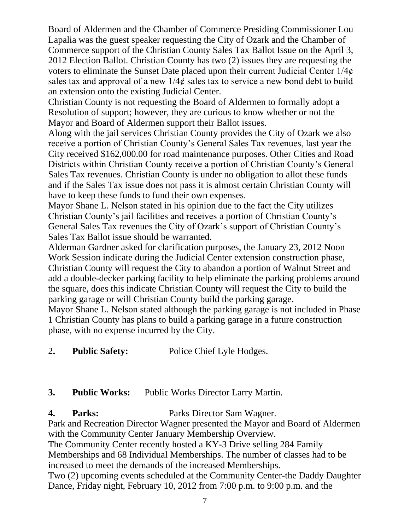Board of Aldermen and the Chamber of Commerce Presiding Commissioner Lou Lapalia was the guest speaker requesting the City of Ozark and the Chamber of Commerce support of the Christian County Sales Tax Ballot Issue on the April 3, 2012 Election Ballot. Christian County has two (2) issues they are requesting the voters to eliminate the Sunset Date placed upon their current Judicial Center 1/4¢ sales tax and approval of a new  $1/4\ell$  sales tax to service a new bond debt to build an extension onto the existing Judicial Center.

Christian County is not requesting the Board of Aldermen to formally adopt a Resolution of support; however, they are curious to know whether or not the Mayor and Board of Aldermen support their Ballot issues.

Along with the jail services Christian County provides the City of Ozark we also receive a portion of Christian County's General Sales Tax revenues, last year the City received \$162,000.00 for road maintenance purposes. Other Cities and Road Districts within Christian County receive a portion of Christian County's General Sales Tax revenues. Christian County is under no obligation to allot these funds and if the Sales Tax issue does not pass it is almost certain Christian County will have to keep these funds to fund their own expenses.

Mayor Shane L. Nelson stated in his opinion due to the fact the City utilizes Christian County's jail facilities and receives a portion of Christian County's General Sales Tax revenues the City of Ozark's support of Christian County's Sales Tax Ballot issue should be warranted.

Alderman Gardner asked for clarification purposes, the January 23, 2012 Noon Work Session indicate during the Judicial Center extension construction phase, Christian County will request the City to abandon a portion of Walnut Street and add a double-decker parking facility to help eliminate the parking problems around the square, does this indicate Christian County will request the City to build the parking garage or will Christian County build the parking garage.

Mayor Shane L. Nelson stated although the parking garage is not included in Phase 1 Christian County has plans to build a parking garage in a future construction phase, with no expense incurred by the City.

2**. Public Safety:** Police Chief Lyle Hodges.

# **3. Public Works:** Public Works Director Larry Martin.

**4. Parks:** Parks Director Sam Wagner.

Park and Recreation Director Wagner presented the Mayor and Board of Aldermen with the Community Center January Membership Overview.

The Community Center recently hosted a KY-3 Drive selling 284 Family Memberships and 68 Individual Memberships. The number of classes had to be increased to meet the demands of the increased Memberships.

Two (2) upcoming events scheduled at the Community Center-the Daddy Daughter Dance, Friday night, February 10, 2012 from 7:00 p.m. to 9:00 p.m. and the